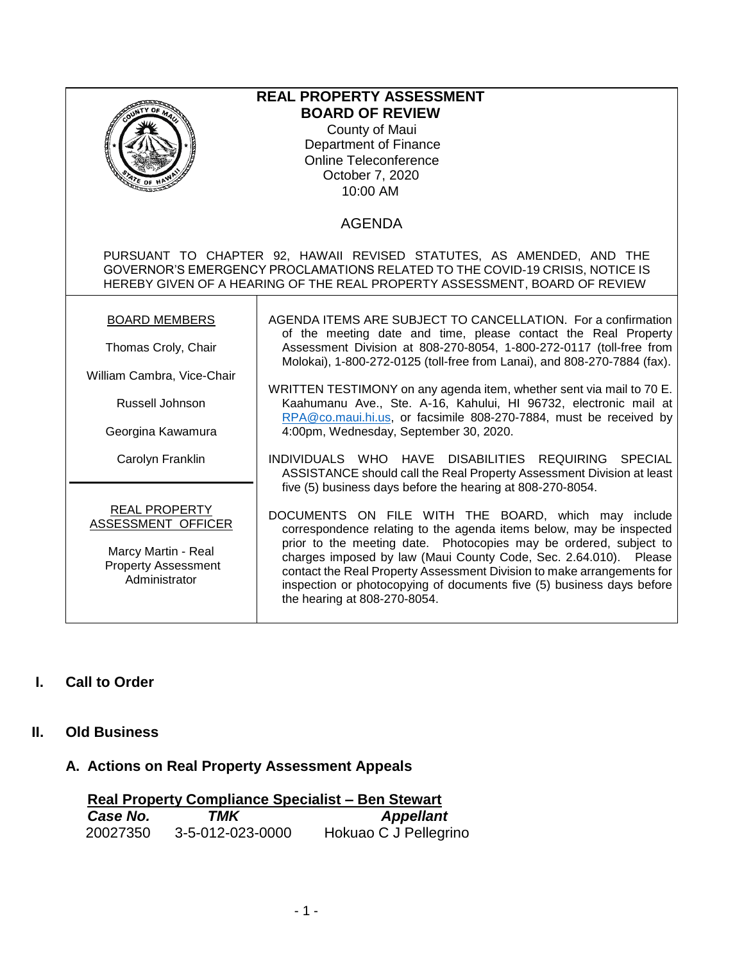| <sup>ርድ</sup> OF ነ<br>annan                                                                                                                                                                                                        | <b>REAL PROPERTY ASSESSMENT</b><br><b>BOARD OF REVIEW</b><br>County of Maui<br>Department of Finance<br><b>Online Teleconference</b><br>October 7, 2020<br>10:00 AM<br><b>AGENDA</b>                                                                                                                                                                                                                                                                                                                                                                                                                                                                                         |  |  |  |
|------------------------------------------------------------------------------------------------------------------------------------------------------------------------------------------------------------------------------------|------------------------------------------------------------------------------------------------------------------------------------------------------------------------------------------------------------------------------------------------------------------------------------------------------------------------------------------------------------------------------------------------------------------------------------------------------------------------------------------------------------------------------------------------------------------------------------------------------------------------------------------------------------------------------|--|--|--|
| PURSUANT TO CHAPTER 92, HAWAII REVISED STATUTES, AS AMENDED, AND THE<br>GOVERNOR'S EMERGENCY PROCLAMATIONS RELATED TO THE COVID-19 CRISIS, NOTICE IS<br>HEREBY GIVEN OF A HEARING OF THE REAL PROPERTY ASSESSMENT, BOARD OF REVIEW |                                                                                                                                                                                                                                                                                                                                                                                                                                                                                                                                                                                                                                                                              |  |  |  |
| <b>BOARD MEMBERS</b><br>Thomas Croly, Chair<br>William Cambra, Vice-Chair<br>Russell Johnson<br>Georgina Kawamura<br>Carolyn Franklin                                                                                              | AGENDA ITEMS ARE SUBJECT TO CANCELLATION. For a confirmation<br>of the meeting date and time, please contact the Real Property<br>Assessment Division at 808-270-8054, 1-800-272-0117 (toll-free from<br>Molokai), 1-800-272-0125 (toll-free from Lanai), and 808-270-7884 (fax).<br>WRITTEN TESTIMONY on any agenda item, whether sent via mail to 70 E.<br>Kaahumanu Ave., Ste. A-16, Kahului, HI 96732, electronic mail at<br>RPA@co.maui.hi.us, or facsimile 808-270-7884, must be received by<br>4:00pm, Wednesday, September 30, 2020.<br>INDIVIDUALS WHO HAVE DISABILITIES REQUIRING SPECIAL<br>ASSISTANCE should call the Real Property Assessment Division at least |  |  |  |
| <b>REAL PROPERTY</b><br>ASSESSMENT OFFICER<br>Marcy Martin - Real<br><b>Property Assessment</b><br>Administrator                                                                                                                   | five (5) business days before the hearing at 808-270-8054.<br>DOCUMENTS ON FILE WITH THE BOARD, which may include<br>correspondence relating to the agenda items below, may be inspected<br>prior to the meeting date. Photocopies may be ordered, subject to<br>charges imposed by law (Maui County Code, Sec. 2.64.010). Please<br>contact the Real Property Assessment Division to make arrangements for<br>inspection or photocopying of documents five (5) business days before<br>the hearing at 808-270-8054.                                                                                                                                                         |  |  |  |

## **I. Call to Order**

#### **II. Old Business**

# **A. Actions on Real Property Assessment Appeals**

| <b>Real Property Compliance Specialist - Ben Stewart</b> |                  |                       |
|----------------------------------------------------------|------------------|-----------------------|
| Case No.                                                 | TMK              | <b>Appellant</b>      |
| 20027350                                                 | 3-5-012-023-0000 | Hokuao C J Pellegrino |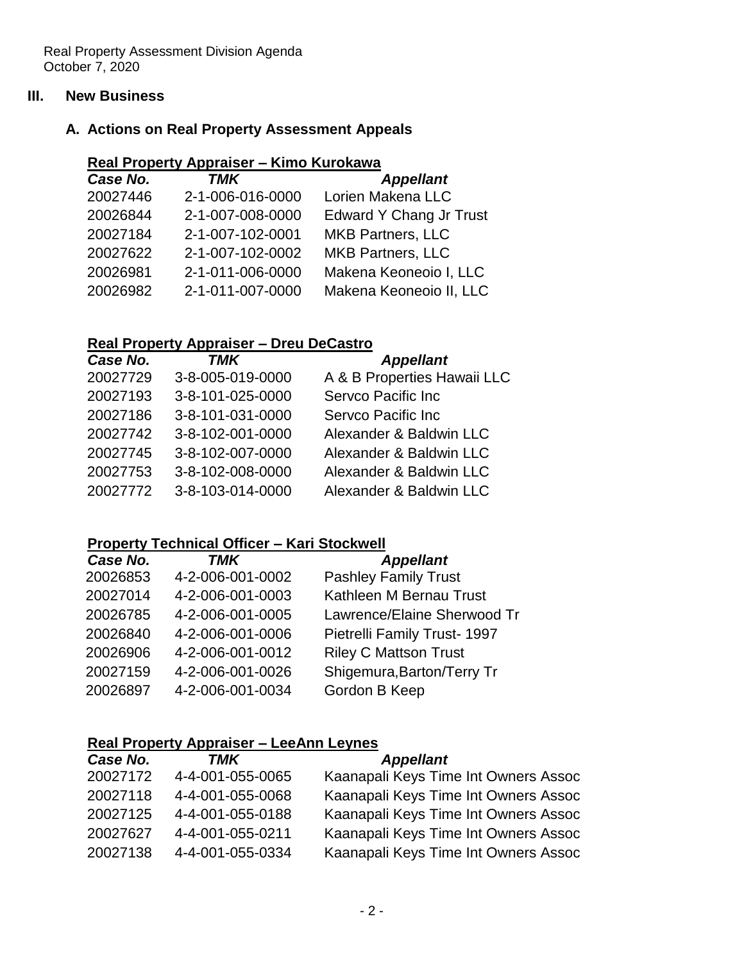#### **III. New Business**

### **A. Actions on Real Property Assessment Appeals**

### **Real Property Appraiser – Kimo Kurokawa**

| <b>Edward Y Chang Jr Trust</b> |
|--------------------------------|
|                                |
|                                |
| Makena Keoneoio I, LLC         |
| Makena Keoneoio II, LLC        |
|                                |

#### **Real Property Appraiser – Dreu DeCastro**

| Case No. | <b>TMK</b>       | <b>Appellant</b>            |
|----------|------------------|-----------------------------|
| 20027729 | 3-8-005-019-0000 | A & B Properties Hawaii LLC |
| 20027193 | 3-8-101-025-0000 | Servco Pacific Inc          |
| 20027186 | 3-8-101-031-0000 | Servco Pacific Inc          |
| 20027742 | 3-8-102-001-0000 | Alexander & Baldwin LLC     |
| 20027745 | 3-8-102-007-0000 | Alexander & Baldwin LLC     |
| 20027753 | 3-8-102-008-0000 | Alexander & Baldwin LLC     |
| 20027772 | 3-8-103-014-0000 | Alexander & Baldwin LLC     |

#### **Property Technical Officer – Kari Stockwell**

| Case No. | TMK              | <b>Appellant</b>             |
|----------|------------------|------------------------------|
| 20026853 | 4-2-006-001-0002 | <b>Pashley Family Trust</b>  |
| 20027014 | 4-2-006-001-0003 | Kathleen M Bernau Trust      |
| 20026785 | 4-2-006-001-0005 | Lawrence/Elaine Sherwood Tr  |
| 20026840 | 4-2-006-001-0006 | Pietrelli Family Trust- 1997 |
| 20026906 | 4-2-006-001-0012 | <b>Riley C Mattson Trust</b> |
| 20027159 | 4-2-006-001-0026 | Shigemura, Barton/Terry Tr   |
| 20026897 | 4-2-006-001-0034 | Gordon B Keep                |
|          |                  |                              |

#### **Real Property Appraiser – LeeAnn Leynes**

| Kaanapali Keys Time Int Owners Assoc |
|--------------------------------------|
| Kaanapali Keys Time Int Owners Assoc |
| Kaanapali Keys Time Int Owners Assoc |
| Kaanapali Keys Time Int Owners Assoc |
| Kaanapali Keys Time Int Owners Assoc |
|                                      |